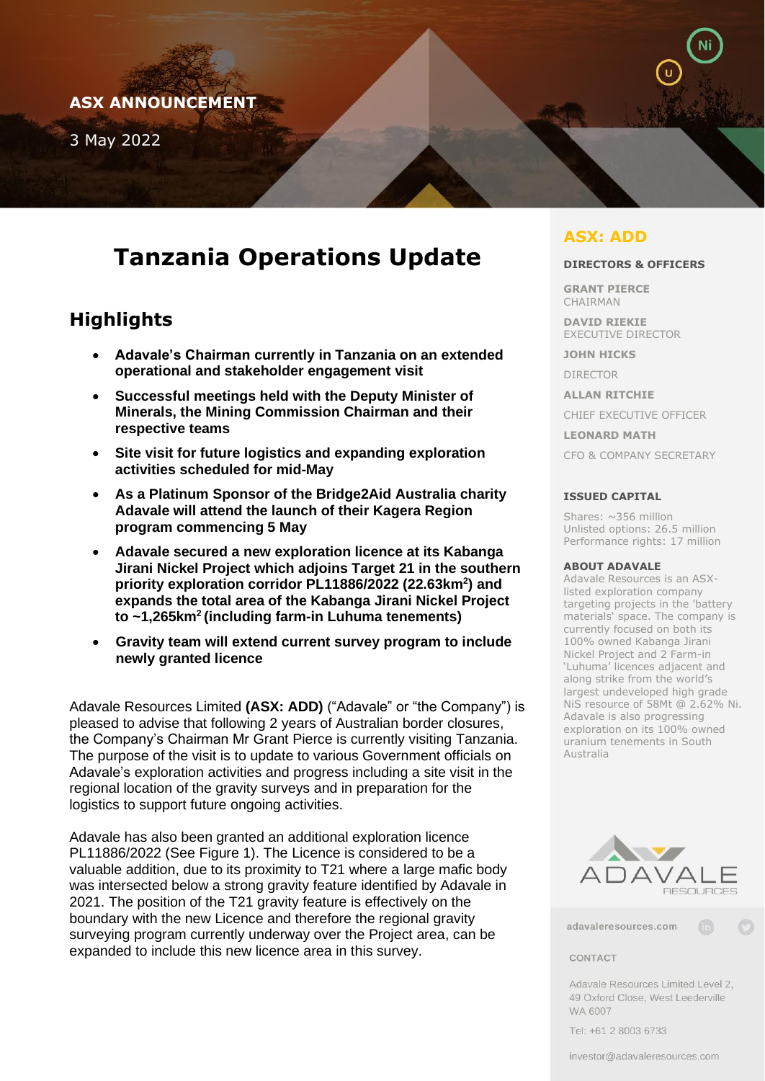# **ASX ANNOUNCEMENT**

3 May 2022

# **Tanzania Operations Update**

# **Highlights**

- **Adavale's Chairman currently in Tanzania on an extended operational and stakeholder engagement visit**
- **Successful meetings held with the Deputy Minister of Minerals, the Mining Commission Chairman and their respective teams**
- **Site visit for future logistics and expanding exploration activities scheduled for mid-May**
- **As a Platinum Sponsor of the Bridge2Aid Australia charity Adavale will attend the launch of their Kagera Region program commencing 5 May**
- **Adavale secured a new exploration licence at its Kabanga Jirani Nickel Project which adjoins Target 21 in the southern priority exploration corridor PL11886/2022 (22.63km<sup>2</sup> ) and expands the total area of the Kabanga Jirani Nickel Project to ~1,265km<sup>2</sup>(including farm-in Luhuma tenements)**
- **Gravity team will extend current survey program to include newly granted licence**

Adavale Resources Limited **(ASX: ADD)** ("Adavale" or "the Company") is pleased to advise that following 2 years of Australian border closures, the Company's Chairman Mr Grant Pierce is currently visiting Tanzania. The purpose of the visit is to update to various Government officials on Adavale's exploration activities and progress including a site visit in the regional location of the gravity surveys and in preparation for the logistics to support future ongoing activities.

Adavale has also been granted an additional exploration licence PL11886/2022 (See Figure 1). The Licence is considered to be a valuable addition, due to its proximity to T21 where a large mafic body was intersected below a strong gravity feature identified by Adavale in 2021. The position of the T21 gravity feature is effectively on the boundary with the new Licence and therefore the regional gravity surveying program currently underway over the Project area, can be expanded to include this new licence area in this survey.

# **ASX: ADD**

#### **DIRECTORS & OFFICERS**

**GRANT PIERCE**  CHAIRMAN

**DAVID RIEKIE**  EXECUTIVE DIRECTOR

**JOHN HICKS** 

DIRECTOR

**ALLAN RITCHIE** 

CHIEF EXECUTIVE OFFICER

**LEONARD MATH**

CFO & COMPANY SECRETARY

#### **ISSUED CAPITAL**

Shares:  $\sim$ 356 million Unlisted options: 26.5 million Performance rights: 17 million

#### **ABOUT ADAVALE**

Adavale Resources is an ASXlisted exploration company targeting projects in the 'battery materials' space. The company is currently focused on both its 100% owned Kabanga Jirani Nickel Project and 2 Farm-in 'Luhuma' licences adjacent and along strike from the world's largest undeveloped high grade NiS resource of 58Mt @ 2.62% Ni. Adavale is also progressing exploration on its 100% owned uranium tenements in South Australia



adavaleresources.com

#### CONTACT

Adavale Resources Limited Level 2, 49 Oxford Close, West Leederville WA 6007

Tel: +61 2 8003 6733

investor@adavaleresources.com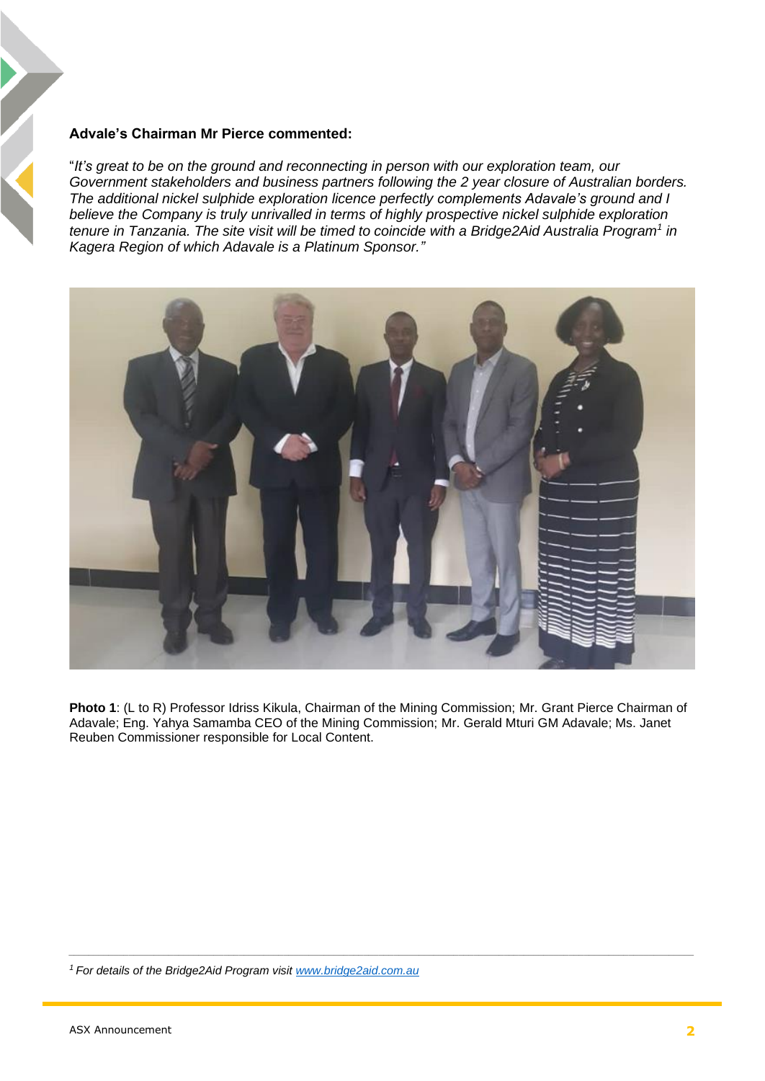### **Advale's Chairman Mr Pierce commented:**

"*It's great to be on the ground and reconnecting in person with our exploration team, our Government stakeholders and business partners following the 2 year closure of Australian borders. The additional nickel sulphide exploration licence perfectly complements Adavale's ground and I believe the Company is truly unrivalled in terms of highly prospective nickel sulphide exploration tenure in Tanzania. The site visit will be timed to coincide with a Bridge2Aid Australia Program<sup>1</sup> in Kagera Region of which Adavale is a Platinum Sponsor."*



**Photo 1**: (L to R) Professor Idriss Kikula, Chairman of the Mining Commission; Mr. Grant Pierce Chairman of Adavale; Eng. Yahya Samamba CEO of the Mining Commission; Mr. Gerald Mturi GM Adavale; Ms. Janet Reuben Commissioner responsible for Local Content.

*\_\_\_\_\_\_\_\_\_\_\_\_\_\_\_\_\_\_\_\_\_\_\_\_\_\_\_\_\_\_\_\_\_\_\_\_\_\_\_\_\_\_\_\_\_\_\_\_\_\_\_\_\_\_\_\_\_\_\_\_\_\_\_\_\_\_\_\_\_\_\_\_\_\_\_\_\_\_\_\_\_\_\_\_\_\_\_\_\_\_\_\_\_\_\_\_\_\_\_\_\_\_\_\_\_\_\_\_\_\_\_\_\_\_\_\_\_\_\_\_\_\_\_\_\_*

*1 For details of the Bridge2Aid Program visit [www.bridge2aid.com.au](http://www.bridge2aid.com.au/)*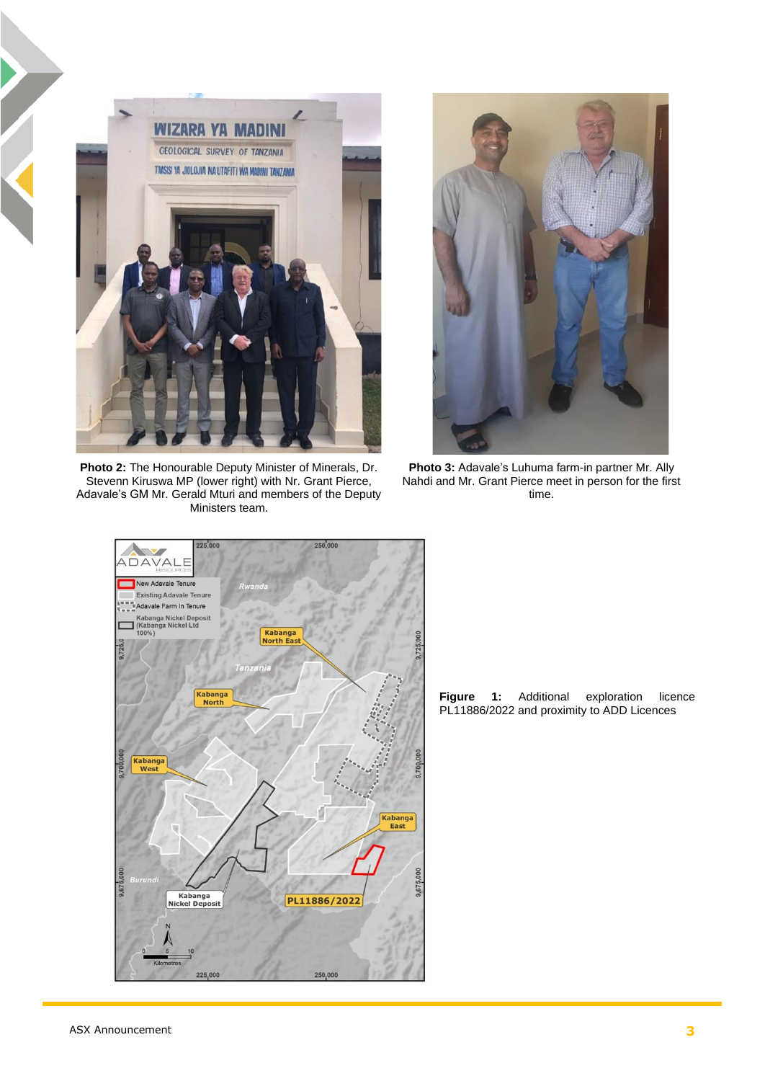

**Photo 2:** The Honourable Deputy Minister of Minerals, Dr. Stevenn Kiruswa MP (lower right) with Nr. Grant Pierce, Adavale's GM Mr. Gerald Mturi and members of the Deputy Ministers team.



**Photo 3:** Adavale's Luhuma farm-in partner Mr. Ally Nahdi and Mr. Grant Pierce meet in person for the first time.



**Figure 1:** Additional exploration licence PL11886/2022 and proximity to ADD Licences